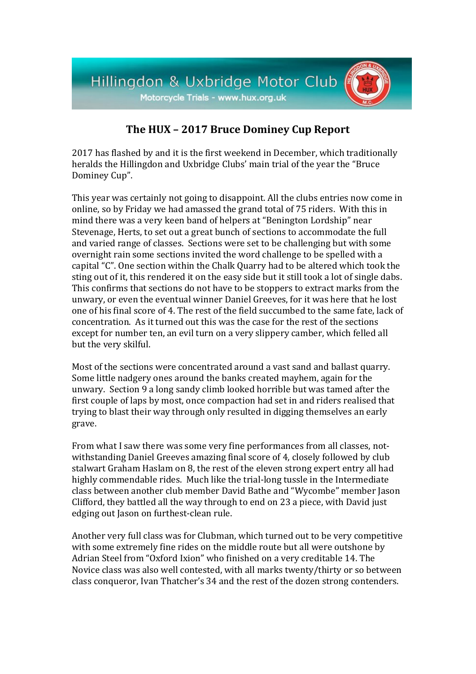

## **The HUX – 2017 Bruce Dominey Cup Report**

2017 has flashed by and it is the first weekend in December, which traditionally heralds the Hillingdon and Uxbridge Clubs' main trial of the year the "Bruce Dominey Cup".

This year was certainly not going to disappoint. All the clubs entries now come in online, so by Friday we had amassed the grand total of 75 riders. With this in mind there was a very keen band of helpers at "Benington Lordship" near Stevenage, Herts, to set out a great bunch of sections to accommodate the full and varied range of classes. Sections were set to be challenging but with some overnight rain some sections invited the word challenge to be spelled with a capital "C". One section within the Chalk Quarry had to be altered which took the sting out of it, this rendered it on the easy side but it still took a lot of single dabs. This confirms that sections do not have to be stoppers to extract marks from the unwary, or even the eventual winner Daniel Greeves, for it was here that he lost one of his final score of 4. The rest of the field succumbed to the same fate, lack of concentration. As it turned out this was the case for the rest of the sections except for number ten, an evil turn on a very slippery camber, which felled all but the very skilful.

Most of the sections were concentrated around a vast sand and ballast quarry. Some little nadgery ones around the banks created mayhem, again for the unwary. Section 9 a long sandy climb looked horrible but was tamed after the first couple of laps by most, once compaction had set in and riders realised that trying to blast their way through only resulted in digging themselves an early grave.

From what I saw there was some very fine performances from all classes, notwithstanding Daniel Greeves amazing final score of 4, closely followed by club stalwart Graham Haslam on 8, the rest of the eleven strong expert entry all had highly commendable rides. Much like the trial-long tussle in the Intermediate class between another club member David Bathe and "Wycombe" member Jason Clifford, they battled all the way through to end on 23 a piece, with David just edging out Jason on furthest-clean rule.

Another very full class was for Clubman, which turned out to be very competitive with some extremely fine rides on the middle route but all were outshone by Adrian Steel from "Oxford Ixion" who finished on a very creditable 14. The Novice class was also well contested, with all marks twenty/thirty or so between class conqueror, Ivan Thatcher's 34 and the rest of the dozen strong contenders.